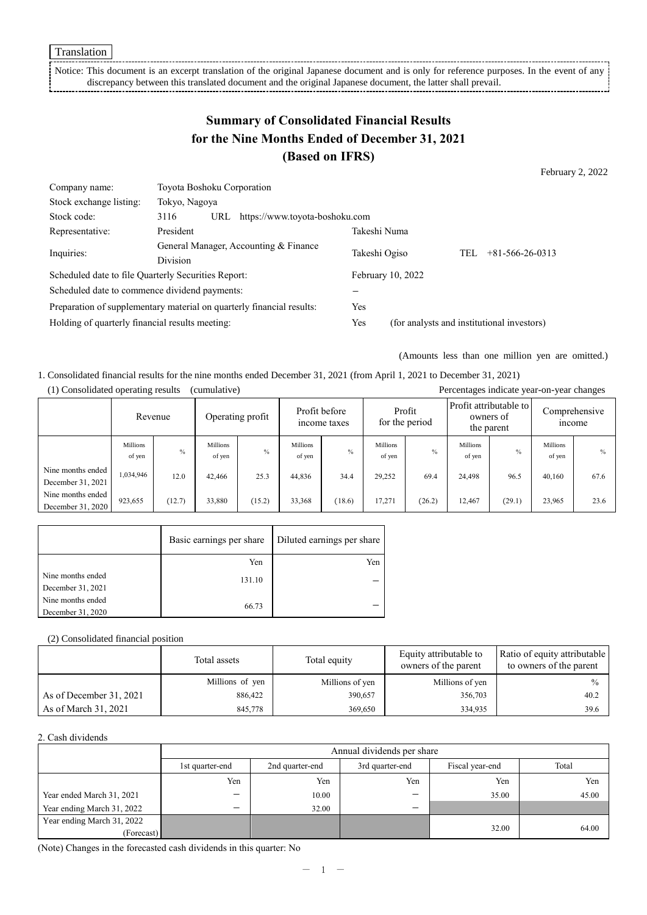Notice: This document is an excerpt translation of the original Japanese document and is only for reference purposes. In the event of any discrepancy between this translated document and the original Japanese document, the latter shall prevail.

# **Summary of Consolidated Financial Results for the Nine Months Ended of December 31, 2021 (Based on IFRS)**

February 2, 2022

| Company name:                                                         | Toyota Boshoku Corporation                               |     |                                |                                            |                   |                         |  |
|-----------------------------------------------------------------------|----------------------------------------------------------|-----|--------------------------------|--------------------------------------------|-------------------|-------------------------|--|
| Stock exchange listing:                                               | Tokyo, Nagoya                                            |     |                                |                                            |                   |                         |  |
| Stock code:                                                           | 3116                                                     | URL | https://www.toyota-boshoku.com |                                            |                   |                         |  |
| Representative:                                                       | President                                                |     |                                | Takeshi Numa                               |                   |                         |  |
| Inquiries:                                                            | General Manager, Accounting & Finance<br><b>Division</b> |     | Takeshi Ogiso                  |                                            | TEL               | $+81 - 566 - 26 - 0313$ |  |
|                                                                       |                                                          |     |                                |                                            |                   |                         |  |
| Scheduled date to file Quarterly Securities Report:                   |                                                          |     |                                |                                            | February 10, 2022 |                         |  |
| Scheduled date to commence dividend payments:                         |                                                          |     |                                |                                            |                   |                         |  |
| Preparation of supplementary material on quarterly financial results: |                                                          |     | Yes                            |                                            |                   |                         |  |
| Holding of quarterly financial results meeting:                       |                                                          |     | Yes                            | (for analysts and institutional investors) |                   |                         |  |

(Amounts less than one million yen are omitted.)

1. Consolidated financial results for the nine months ended December 31, 2021 (from April 1, 2021 to December 31, 2021) (1) Consolidated operating results (cumulative) Percentages indicate year-on-year changes

|                                        |                           | Revenue |                           | Operating profit | Profit before<br>Profit<br>for the period<br>income taxes |               | Profit attributable to<br>owners of<br>the parent |               | Comprehensive<br><i>n</i> come |        |                    |               |
|----------------------------------------|---------------------------|---------|---------------------------|------------------|-----------------------------------------------------------|---------------|---------------------------------------------------|---------------|--------------------------------|--------|--------------------|---------------|
|                                        | <b>Millions</b><br>of yen | $\%$    | <b>Millions</b><br>of yen | $\%$             | Millions<br>of yen                                        | $\frac{0}{0}$ | Millions<br>of yen                                | $\frac{0}{0}$ | <b>Millions</b><br>of yen      | $\%$   | Millions<br>of yen | $\frac{0}{0}$ |
| Nine months ended<br>December 31, 2021 | 1,034,946                 | 12.0    | 42,466                    | 25.3             | 44,836                                                    | 34.4          | 29,252                                            | 69.4          | 24,498                         | 96.5   | 40,160             | 67.6          |
| Nine months ended<br>December 31, 2020 | 923,655                   | (12.7)  | 33,880                    | (15.2)           | 33,368                                                    | (18.6)        | 17,271                                            | (26.2)        | 12,467                         | (29.1) | 23,965             | 23.6          |

|                   | Basic earnings per share | Diluted earnings per share |
|-------------------|--------------------------|----------------------------|
|                   | Yen                      | Yen                        |
| Nine months ended | 131.10                   |                            |
| December 31, 2021 |                          |                            |
| Nine months ended | 66.73                    |                            |
| December 31, 2020 |                          |                            |

#### (2) Consolidated financial position

|                         | Total assets    | Total equity    | Equity attributable to<br>owners of the parent | Ratio of equity attributable<br>to owners of the parent |
|-------------------------|-----------------|-----------------|------------------------------------------------|---------------------------------------------------------|
|                         | Millions of yen | Millions of yen | Millions of yen                                | $\frac{0}{0}$                                           |
| As of December 31, 2021 | 886,422         | 390,657         | 356,703                                        | 40.2                                                    |
| As of March 31, 2021    | 845,778         | 369,650         | 334,935                                        | 39.6                                                    |

#### 2. Cash dividends

|                            |                 | Annual dividends per share |                 |                 |       |  |  |
|----------------------------|-----------------|----------------------------|-----------------|-----------------|-------|--|--|
|                            | 1st quarter-end | 2nd quarter-end            | 3rd quarter-end | Fiscal year-end | Total |  |  |
|                            | Yen             | Yen                        | Yen             | Yen             | Yen   |  |  |
| Year ended March 31, 2021  | —               | 10.00                      | –               | 35.00           | 45.00 |  |  |
| Year ending March 31, 2022 | —               | 32.00                      | –               |                 |       |  |  |
| Year ending March 31, 2022 |                 |                            |                 | 32.00           | 64.00 |  |  |
| (Forecast)                 |                 |                            |                 |                 |       |  |  |

(Note) Changes in the forecasted cash dividends in this quarter: No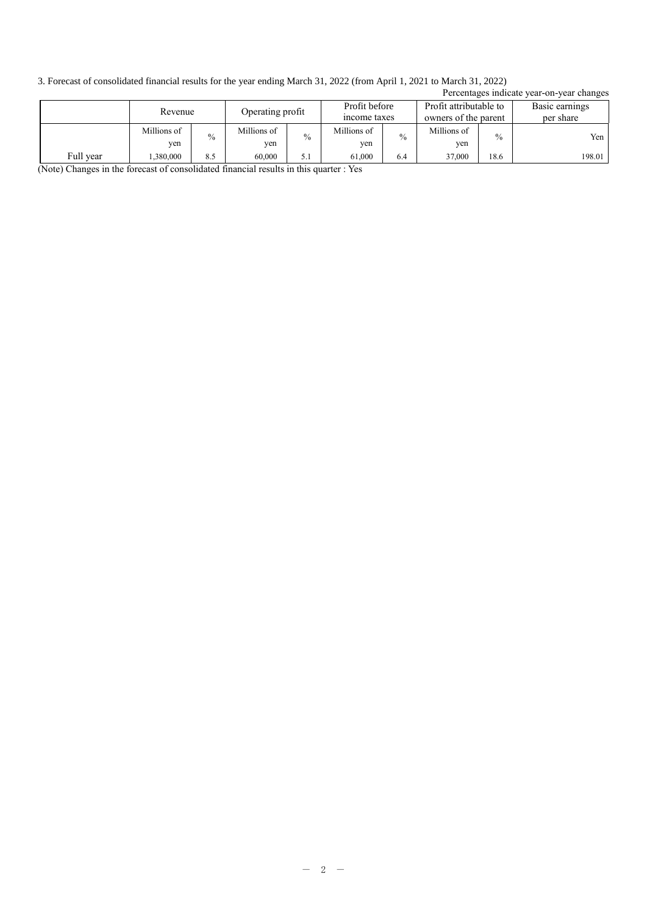3. Forecast of consolidated financial results for the year ending March 31, 2022 (from April 1, 2021 to March 31, 2022)

|           | 9. FORCast Of Consonuated Initializial results for the year chuing ividicit 91, 2022 (from April 1, 2021 to March 91, 2022) |                             |                    |                               |                    |                                                |                    |                             |                                           |
|-----------|-----------------------------------------------------------------------------------------------------------------------------|-----------------------------|--------------------|-------------------------------|--------------------|------------------------------------------------|--------------------|-----------------------------|-------------------------------------------|
|           |                                                                                                                             |                             |                    |                               |                    |                                                |                    |                             | Percentages indicate year-on-year changes |
|           |                                                                                                                             | Operating profit<br>Revenue |                    | Profit before<br>income taxes |                    | Profit attributable to<br>owners of the parent |                    | Basic earnings<br>per share |                                           |
|           | Millions of<br>yen                                                                                                          | $\frac{0}{0}$               | Millions of<br>yen | $\frac{0}{0}$                 | Millions of<br>yen | $\frac{0}{0}$                                  | Millions of<br>yen | $\frac{0}{0}$               | Yen                                       |
| Full year | .380,000                                                                                                                    | 8.5                         | 60,000             | 5.1                           | 61,000             | 6.4                                            | 37,000             | 18.6                        | 198.01                                    |

(Note) Changes in the forecast of consolidated financial results in this quarter : Yes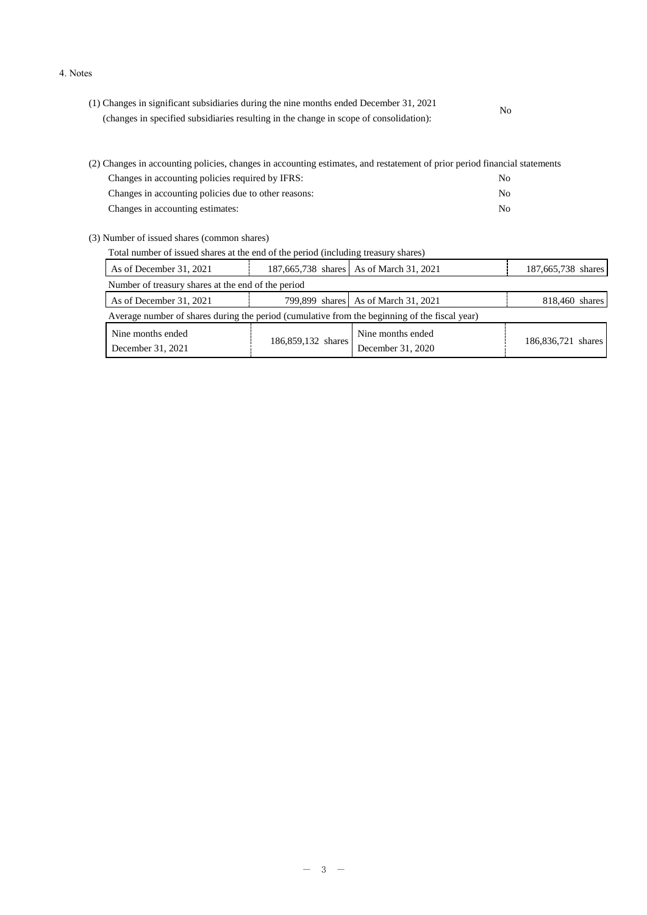#### 4. Notes

| (1) Changes in significant subsidiaries during the nine months ended December 31, 2021 | No |  |
|----------------------------------------------------------------------------------------|----|--|
| (changes in specified subsidiaries resulting in the change in scope of consolidation): |    |  |

| (2) Changes in accounting policies, changes in accounting estimates, and restatement of prior period financial statements |     |  |  |  |  |  |
|---------------------------------------------------------------------------------------------------------------------------|-----|--|--|--|--|--|
| Changes in accounting policies required by IFRS:                                                                          | No. |  |  |  |  |  |
| Changes in accounting policies due to other reasons:                                                                      | No. |  |  |  |  |  |
| Changes in accounting estimates:                                                                                          | No. |  |  |  |  |  |

(3) Number of issued shares (common shares)

| Total number of issued shares at the end of the period (including treasury shares) |  |                                         |                    |  |  |  |  |
|------------------------------------------------------------------------------------|--|-----------------------------------------|--------------------|--|--|--|--|
| As of December 31, 2021                                                            |  | 187,665,738 shares As of March 31, 2021 | 187,665,738 shares |  |  |  |  |
| Number of treasury shares at the end of the period                                 |  |                                         |                    |  |  |  |  |
| As of December 31, 2021                                                            |  | 799,899 shares   As of March 31, 2021   | 818,460 shares     |  |  |  |  |

| $1.10 \times 1.20$ . The set of $1.10 \times 1.10$ and $1.10 \times 1.10$                     |                    |                                        |                    |  |  |  |  |
|-----------------------------------------------------------------------------------------------|--------------------|----------------------------------------|--------------------|--|--|--|--|
| Average number of shares during the period (cumulative from the beginning of the fiscal year) |                    |                                        |                    |  |  |  |  |
| Nine months ended<br>December 31, 2021                                                        | 186,859,132 shares | Nine months ended<br>December 31, 2020 | 186,836,721 shares |  |  |  |  |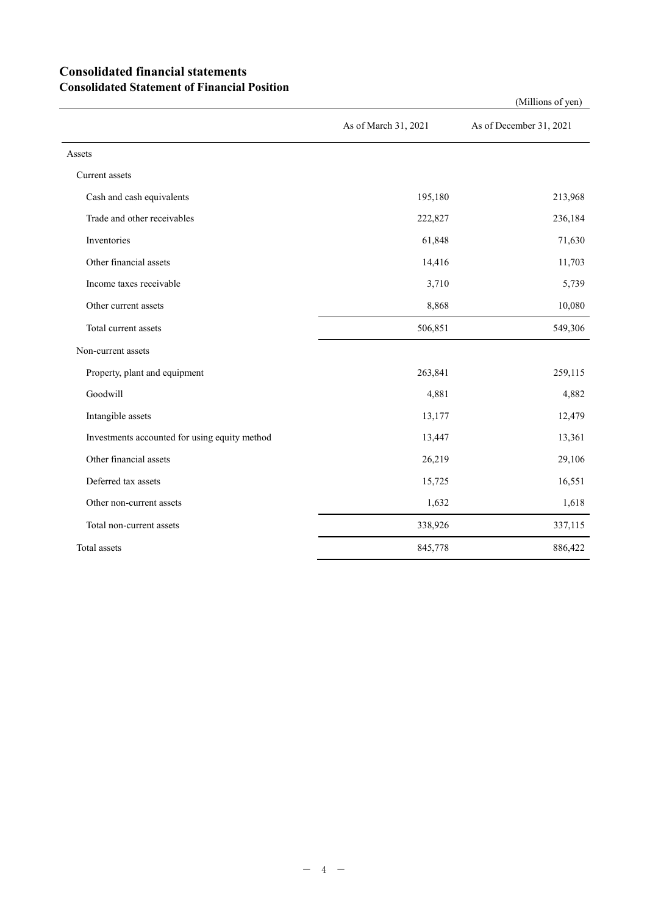## **Consolidated financial statements Consolidated Statement of Financial Position**

As of March 31, 2021 As of December 31, 2021 Assets Current assets Cash and cash equivalents **195,180** 213,968 Trade and other receivables 222,827 236,184 Inventories  $61,848$   $71,630$ Other financial assets 14,416 11,703 Income taxes receivable 5,739 Other current assets and the set of the set of the set of the set of the set of the set of the set of the set of the set of the set of the set of the set of the set of the set of the set of the set of the set of the set of Total current assets 506,851 549,306 Non-current assets Property, plant and equipment 263,841 259,115 Goodwill 4,881 4,882 Intangible assets 13,177 12,479 Investments accounted for using equity method 13,447 13,361 Other financial assets 26,219 29,106 Deferred tax assets 15,725 16,551 Other non-current assets 1,632 1,618 Total non-current assets 338,926 337,115 Total assets 845,778 886,422

(Millions of yen)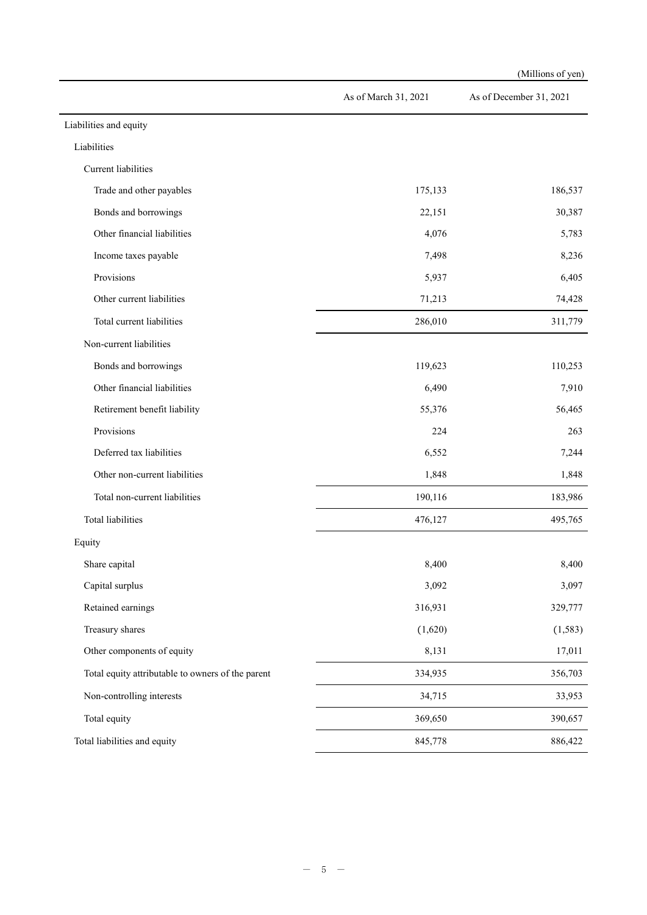|                                                   |                      | (Millions of yen)       |
|---------------------------------------------------|----------------------|-------------------------|
|                                                   | As of March 31, 2021 | As of December 31, 2021 |
| Liabilities and equity                            |                      |                         |
| Liabilities                                       |                      |                         |
| Current liabilities                               |                      |                         |
| Trade and other payables                          | 175,133              | 186,537                 |
| Bonds and borrowings                              | 22,151               | 30,387                  |
| Other financial liabilities                       | 4,076                | 5,783                   |
| Income taxes payable                              | 7,498                | 8,236                   |
| Provisions                                        | 5,937                | 6,405                   |
| Other current liabilities                         | 71,213               | 74,428                  |
| Total current liabilities                         | 286,010              | 311,779                 |
| Non-current liabilities                           |                      |                         |
| Bonds and borrowings                              | 119,623              | 110,253                 |
| Other financial liabilities                       | 6,490                | 7,910                   |
| Retirement benefit liability                      | 55,376               | 56,465                  |
| Provisions                                        | 224                  | 263                     |
| Deferred tax liabilities                          | 6,552                | 7,244                   |
| Other non-current liabilities                     | 1,848                | 1,848                   |
| Total non-current liabilities                     | 190,116              | 183,986                 |
| Total liabilities                                 | 476,127              | 495,765                 |
| Equity                                            |                      |                         |
| Share capital                                     | 8,400                | 8,400                   |
| Capital surplus                                   | 3,092                | 3,097                   |
| Retained earnings                                 | 316,931              | 329,777                 |
| Treasury shares                                   | (1,620)              | (1, 583)                |
| Other components of equity                        | 8,131                | 17,011                  |
| Total equity attributable to owners of the parent | 334,935              | 356,703                 |
| Non-controlling interests                         | 34,715               | 33,953                  |
| Total equity                                      | 369,650              | 390,657                 |
| Total liabilities and equity                      | 845,778              | 886,422                 |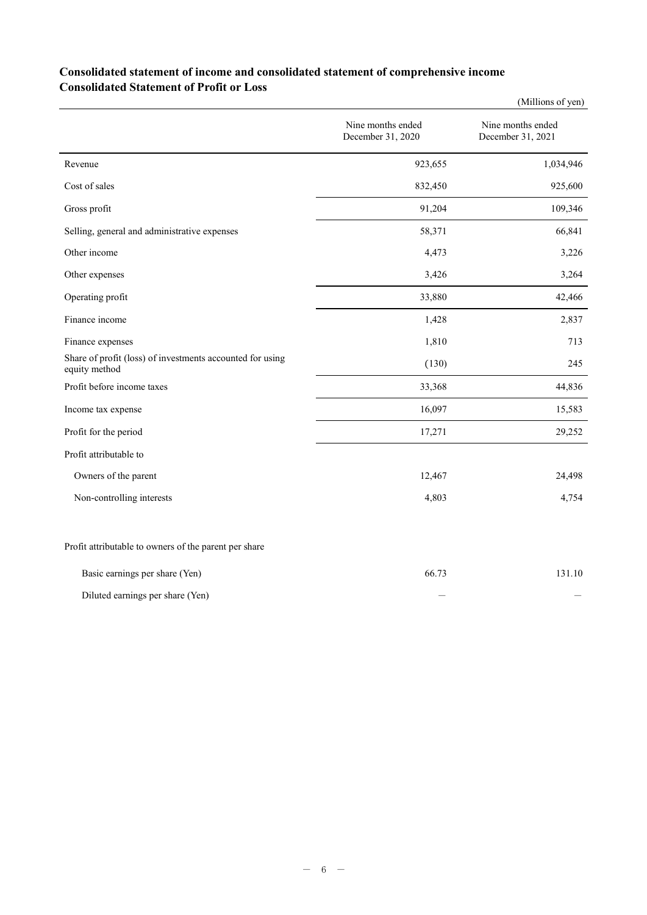## **Consolidated statement of income and consolidated statement of comprehensive income Consolidated Statement of Profit or Loss**

|                                                                            |                                        | (Millions of yen)                      |
|----------------------------------------------------------------------------|----------------------------------------|----------------------------------------|
|                                                                            | Nine months ended<br>December 31, 2020 | Nine months ended<br>December 31, 2021 |
| Revenue                                                                    | 923,655                                | 1,034,946                              |
| Cost of sales                                                              | 832,450                                | 925,600                                |
| Gross profit                                                               | 91,204                                 | 109,346                                |
| Selling, general and administrative expenses                               | 58,371                                 | 66,841                                 |
| Other income                                                               | 4,473                                  | 3,226                                  |
| Other expenses                                                             | 3,426                                  | 3,264                                  |
| Operating profit                                                           | 33,880                                 | 42,466                                 |
| Finance income                                                             | 1,428                                  | 2,837                                  |
| Finance expenses                                                           | 1,810                                  | 713                                    |
| Share of profit (loss) of investments accounted for using<br>equity method | (130)                                  | 245                                    |
| Profit before income taxes                                                 | 33,368                                 | 44,836                                 |
| Income tax expense                                                         | 16,097                                 | 15,583                                 |
| Profit for the period                                                      | 17,271                                 | 29,252                                 |
| Profit attributable to                                                     |                                        |                                        |
| Owners of the parent                                                       | 12,467                                 | 24,498                                 |
| Non-controlling interests                                                  | 4,803                                  | 4,754                                  |
| Profit attributable to owners of the parent per share                      |                                        |                                        |
| Basic earnings per share (Yen)                                             | 66.73                                  | 131.10                                 |

Diluted earnings per share (Yen)  $-$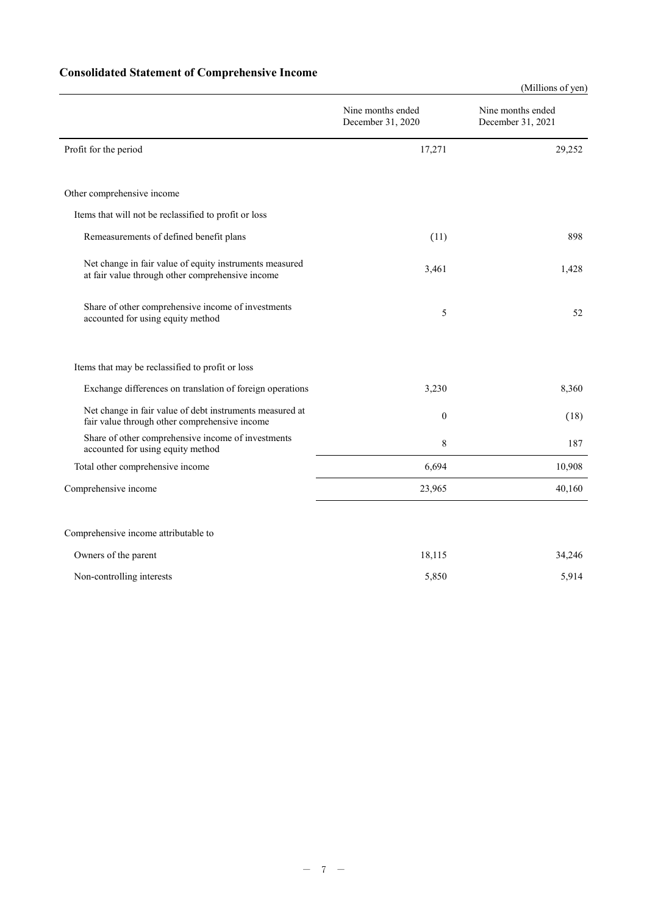## **Consolidated Statement of Comprehensive Income**

|                                                                                                             |                                        | (Millions of yen)                      |  |
|-------------------------------------------------------------------------------------------------------------|----------------------------------------|----------------------------------------|--|
|                                                                                                             | Nine months ended<br>December 31, 2020 | Nine months ended<br>December 31, 2021 |  |
| Profit for the period                                                                                       | 17,271                                 | 29,252                                 |  |
| Other comprehensive income                                                                                  |                                        |                                        |  |
| Items that will not be reclassified to profit or loss                                                       |                                        |                                        |  |
| Remeasurements of defined benefit plans                                                                     | (11)                                   | 898                                    |  |
| Net change in fair value of equity instruments measured<br>at fair value through other comprehensive income | 3,461                                  | 1,428                                  |  |
| Share of other comprehensive income of investments<br>accounted for using equity method                     | 5                                      | 52                                     |  |
| Items that may be reclassified to profit or loss                                                            |                                        |                                        |  |
| Exchange differences on translation of foreign operations                                                   | 3,230                                  | 8,360                                  |  |
| Net change in fair value of debt instruments measured at<br>fair value through other comprehensive income   | $\mathbf{0}$                           | (18)                                   |  |
| Share of other comprehensive income of investments<br>accounted for using equity method                     | 8                                      | 187                                    |  |
| Total other comprehensive income                                                                            | 6,694                                  | 10,908                                 |  |
| Comprehensive income                                                                                        | 23,965                                 | 40,160                                 |  |
| Comprehensive income attributable to                                                                        |                                        |                                        |  |
| Owners of the parent                                                                                        | 18,115                                 | 34,246                                 |  |

| Non-controlling interests | 5.850 | 5,914 |
|---------------------------|-------|-------|
|                           |       |       |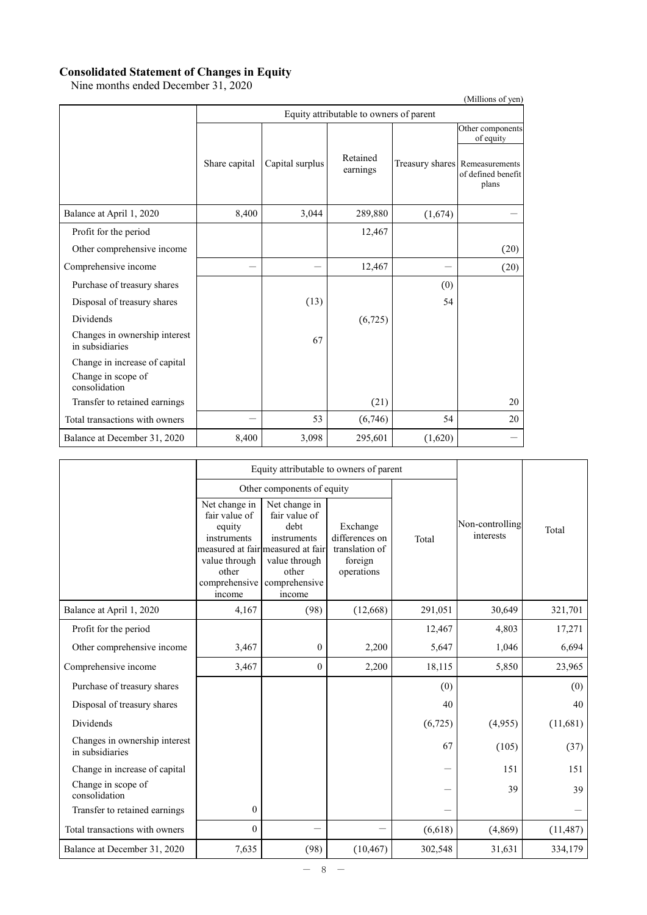### **Consolidated Statement of Changes in Equity**

Nine months ended December 31, 2020

|                                                  |               |                                         |                      |         | (Millions of yen)                                                                              |  |  |  |
|--------------------------------------------------|---------------|-----------------------------------------|----------------------|---------|------------------------------------------------------------------------------------------------|--|--|--|
|                                                  |               | Equity attributable to owners of parent |                      |         |                                                                                                |  |  |  |
|                                                  | Share capital | Capital surplus                         | Retained<br>earnings |         | Other components<br>of equity<br>Treasury shares Remeasurements<br>of defined benefit<br>plans |  |  |  |
| Balance at April 1, 2020                         | 8,400         | 3,044                                   | 289,880              | (1,674) |                                                                                                |  |  |  |
| Profit for the period                            |               |                                         | 12,467               |         |                                                                                                |  |  |  |
| Other comprehensive income                       |               |                                         |                      |         | (20)                                                                                           |  |  |  |
| Comprehensive income                             |               |                                         | 12,467               |         | (20)                                                                                           |  |  |  |
| Purchase of treasury shares                      |               |                                         |                      | (0)     |                                                                                                |  |  |  |
| Disposal of treasury shares                      |               | (13)                                    |                      | 54      |                                                                                                |  |  |  |
| <b>Dividends</b>                                 |               |                                         | (6,725)              |         |                                                                                                |  |  |  |
| Changes in ownership interest<br>in subsidiaries |               | 67                                      |                      |         |                                                                                                |  |  |  |
| Change in increase of capital                    |               |                                         |                      |         |                                                                                                |  |  |  |
| Change in scope of<br>consolidation              |               |                                         |                      |         |                                                                                                |  |  |  |
| Transfer to retained earnings                    |               |                                         | (21)                 |         | 20                                                                                             |  |  |  |
| Total transactions with owners                   |               | 53                                      | (6,746)              | 54      | 20                                                                                             |  |  |  |
| Balance at December 31, 2020                     | 8,400         | 3,098                                   | 295,601              | (1,620) |                                                                                                |  |  |  |

|                                                  |                                                                                                              | Equity attributable to owners of parent                                                                                                         |                                                                       |         |                              |           |
|--------------------------------------------------|--------------------------------------------------------------------------------------------------------------|-------------------------------------------------------------------------------------------------------------------------------------------------|-----------------------------------------------------------------------|---------|------------------------------|-----------|
|                                                  |                                                                                                              | Other components of equity                                                                                                                      |                                                                       |         |                              |           |
|                                                  | Net change in<br>fair value of<br>equity<br>instruments<br>value through<br>other<br>comprehensive<br>income | Net change in<br>fair value of<br>debt<br>instruments<br>measured at fair measured at fair<br>value through<br>other<br>comprehensive<br>income | Exchange<br>differences on<br>translation of<br>foreign<br>operations | Total   | Non-controlling<br>interests | Total     |
| Balance at April 1, 2020                         | 4,167                                                                                                        | (98)                                                                                                                                            | (12,668)                                                              | 291,051 | 30,649                       | 321,701   |
| Profit for the period                            |                                                                                                              |                                                                                                                                                 |                                                                       | 12,467  | 4,803                        | 17,271    |
| Other comprehensive income                       | 3,467                                                                                                        | $\mathbf{0}$                                                                                                                                    | 2,200                                                                 | 5,647   | 1,046                        | 6,694     |
| Comprehensive income                             | 3,467                                                                                                        | $\Omega$                                                                                                                                        | 2,200                                                                 | 18,115  | 5,850                        | 23,965    |
| Purchase of treasury shares                      |                                                                                                              |                                                                                                                                                 |                                                                       | (0)     |                              | (0)       |
| Disposal of treasury shares                      |                                                                                                              |                                                                                                                                                 |                                                                       | 40      |                              | 40        |
| Dividends                                        |                                                                                                              |                                                                                                                                                 |                                                                       | (6,725) | (4,955)                      | (11,681)  |
| Changes in ownership interest<br>in subsidiaries |                                                                                                              |                                                                                                                                                 |                                                                       | 67      | (105)                        | (37)      |
| Change in increase of capital                    |                                                                                                              |                                                                                                                                                 |                                                                       |         | 151                          | 151       |
| Change in scope of<br>consolidation              |                                                                                                              |                                                                                                                                                 |                                                                       |         | 39                           | 39        |
| Transfer to retained earnings                    | $\boldsymbol{0}$                                                                                             |                                                                                                                                                 |                                                                       |         |                              |           |
| Total transactions with owners                   | $\mathbf{0}$                                                                                                 |                                                                                                                                                 |                                                                       | (6,618) | (4,869)                      | (11, 487) |
| Balance at December 31, 2020                     | 7,635                                                                                                        | (98)                                                                                                                                            | (10, 467)                                                             | 302,548 | 31,631                       | 334,179   |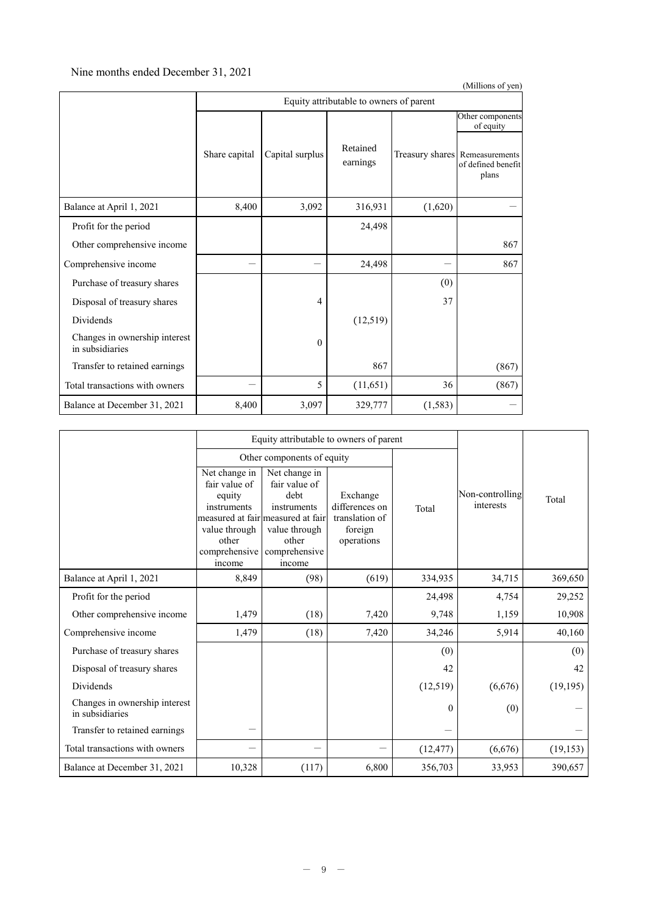### Nine months ended December 31, 2021

|                                                  |               |                                         |                      |          | (Millions of yen)                                             |  |  |  |  |
|--------------------------------------------------|---------------|-----------------------------------------|----------------------|----------|---------------------------------------------------------------|--|--|--|--|
|                                                  |               | Equity attributable to owners of parent |                      |          |                                                               |  |  |  |  |
|                                                  |               |                                         |                      |          | Other components<br>of equity                                 |  |  |  |  |
|                                                  | Share capital | Capital surplus                         | Retained<br>earnings |          | Treasury shares Remeasurements<br>of defined benefit<br>plans |  |  |  |  |
| Balance at April 1, 2021                         | 8,400         | 3,092                                   | 316,931              | (1,620)  |                                                               |  |  |  |  |
| Profit for the period                            |               |                                         | 24,498               |          |                                                               |  |  |  |  |
| Other comprehensive income                       |               |                                         |                      |          | 867                                                           |  |  |  |  |
| Comprehensive income                             |               |                                         | 24,498               |          | 867                                                           |  |  |  |  |
| Purchase of treasury shares                      |               |                                         |                      | (0)      |                                                               |  |  |  |  |
| Disposal of treasury shares                      |               | $\overline{4}$                          |                      | 37       |                                                               |  |  |  |  |
| Dividends                                        |               |                                         | (12,519)             |          |                                                               |  |  |  |  |
| Changes in ownership interest<br>in subsidiaries |               | $\theta$                                |                      |          |                                                               |  |  |  |  |
| Transfer to retained earnings                    |               |                                         | 867                  |          | (867)                                                         |  |  |  |  |
| Total transactions with owners                   |               | 5                                       | (11, 651)            | 36       | (867)                                                         |  |  |  |  |
| Balance at December 31, 2021                     | 8,400         | 3,097                                   | 329,777              | (1, 583) |                                                               |  |  |  |  |

|                                                  |                                                                                                                                                   | Equity attributable to owners of parent                                                                    |                                                                       |              |                              |           |  |
|--------------------------------------------------|---------------------------------------------------------------------------------------------------------------------------------------------------|------------------------------------------------------------------------------------------------------------|-----------------------------------------------------------------------|--------------|------------------------------|-----------|--|
|                                                  |                                                                                                                                                   | Other components of equity                                                                                 |                                                                       |              |                              |           |  |
|                                                  | Net change in<br>fair value of<br>equity<br>instruments<br>measured at fair measured at fair<br>value through<br>other<br>comprehensive<br>income | Net change in<br>fair value of<br>debt<br>instruments<br>value through<br>other<br>comprehensive<br>income | Exchange<br>differences on<br>translation of<br>foreign<br>operations | Total        | Non-controlling<br>interests | Total     |  |
| Balance at April 1, 2021                         | 8,849                                                                                                                                             | (98)                                                                                                       | (619)                                                                 | 334,935      | 34,715                       | 369,650   |  |
| Profit for the period                            |                                                                                                                                                   |                                                                                                            |                                                                       | 24,498       | 4,754                        | 29,252    |  |
| Other comprehensive income                       | 1,479                                                                                                                                             | (18)                                                                                                       | 7,420                                                                 | 9,748        | 1,159                        | 10,908    |  |
| Comprehensive income                             | 1,479                                                                                                                                             | (18)                                                                                                       | 7,420                                                                 | 34,246       | 5,914                        | 40,160    |  |
| Purchase of treasury shares                      |                                                                                                                                                   |                                                                                                            |                                                                       | (0)          |                              | (0)       |  |
| Disposal of treasury shares                      |                                                                                                                                                   |                                                                                                            |                                                                       | 42           |                              | 42        |  |
| <b>Dividends</b>                                 |                                                                                                                                                   |                                                                                                            |                                                                       | (12,519)     | (6,676)                      | (19, 195) |  |
| Changes in ownership interest<br>in subsidiaries |                                                                                                                                                   |                                                                                                            |                                                                       | $\mathbf{0}$ | (0)                          |           |  |
| Transfer to retained earnings                    |                                                                                                                                                   |                                                                                                            |                                                                       |              |                              |           |  |
| Total transactions with owners                   |                                                                                                                                                   |                                                                                                            |                                                                       | (12, 477)    | (6,676)                      | (19, 153) |  |
| Balance at December 31, 2021                     | 10,328                                                                                                                                            | (117)                                                                                                      | 6,800                                                                 | 356,703      | 33,953                       | 390,657   |  |